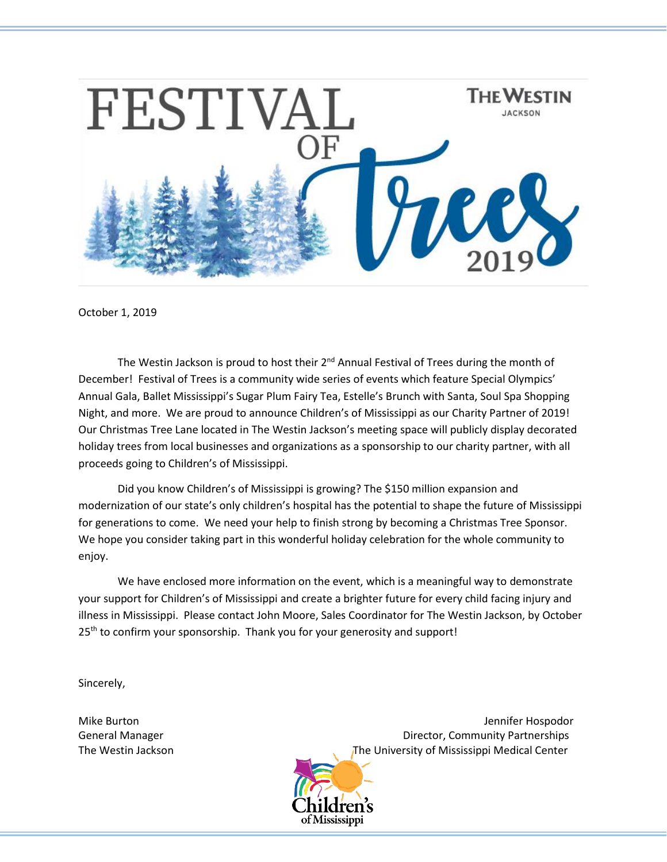

October 1, 2019

The Westin Jackson is proud to host their 2<sup>nd</sup> Annual Festival of Trees during the month of December! Festival of Trees is a community wide series of events which feature Special Olympics' Annual Gala, Ballet Mississippi's Sugar Plum Fairy Tea, Estelle's Brunch with Santa, Soul Spa Shopping Night, and more. We are proud to announce Children's of Mississippi as our Charity Partner of 2019! Our Christmas Tree Lane located in The Westin Jackson's meeting space will publicly display decorated holiday trees from local businesses and organizations as a sponsorship to our charity partner, with all proceeds going to Children's of Mississippi.

Did you know Children's of Mississippi is growing? The \$150 million expansion and modernization of our state's only children's hospital has the potential to shape the future of Mississippi for generations to come. We need your help to finish strong by becoming a Christmas Tree Sponsor. We hope you consider taking part in this wonderful holiday celebration for the whole community to enjoy.

We have enclosed more information on the event, which is a meaningful way to demonstrate your support for Children's of Mississippi and create a brighter future for every child facing injury and illness in Mississippi. Please contact John Moore, Sales Coordinator for The Westin Jackson, by October  $25<sup>th</sup>$  to confirm your sponsorship. Thank you for your generosity and support!

Sincerely,

Mike Burton Jennifer Hospodor (1999) and the United States of the United States of the United States of the United States of the United States of the United States of the United States of the United States of the United St General Manager **Director, Community Partnerships General Manager** The Westin Jackson The University of Mississippi Medical Center

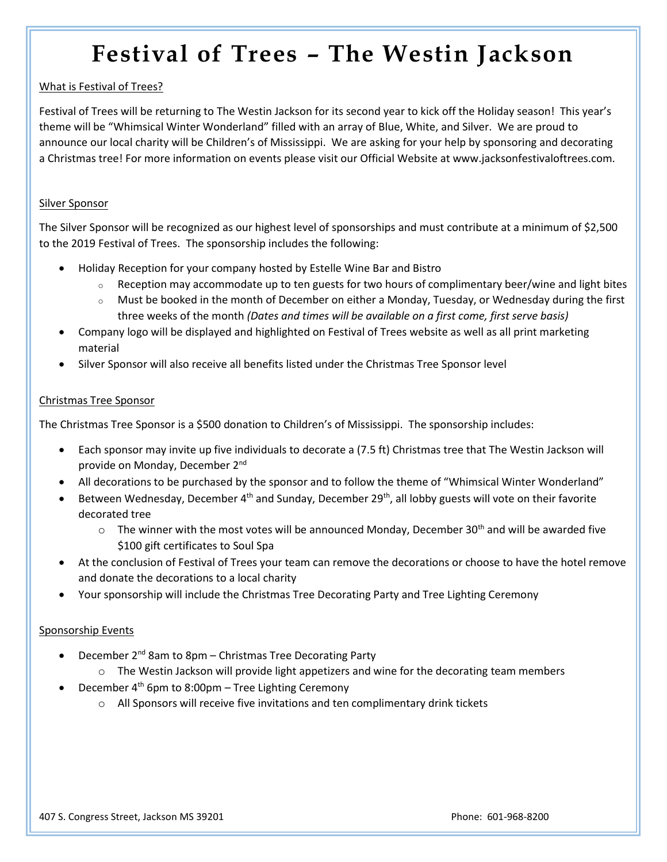# **Festival of Trees – The Westin Jackson**

# What is Festival of Trees?

Festival of Trees will be returning to The Westin Jackson for its second year to kick off the Holiday season! This year's theme will be "Whimsical Winter Wonderland" filled with an array of Blue, White, and Silver. We are proud to announce our local charity will be Children's of Mississippi. We are asking for your help by sponsoring and decorating a Christmas tree! For more information on events please visit our Official Website at <www.jacksonfestivaloftrees.com>.

### Silver Sponsor

The Silver Sponsor will be recognized as our highest level of sponsorships and must contribute at a minimum of \$2,500 to the 2019 Festival of Trees. The sponsorship includes the following:

- Holiday Reception for your company hosted by Estelle Wine Bar and Bistro
	- $\circ$  Reception may accommodate up to ten guests for two hours of complimentary beer/wine and light bites
	- o Must be booked in the month of December on either a Monday, Tuesday, or Wednesday during the first three weeks of the month *(Dates and times will be available on a first come, first serve basis)*
- Company logo will be displayed and highlighted on Festival of Trees website as well as all print marketing material
- Silver Sponsor will also receive all benefits listed under the Christmas Tree Sponsor level

# Christmas Tree Sponsor

The Christmas Tree Sponsor is a \$500 donation to Children's of Mississippi. The sponsorship includes:

- Each sponsor may invite up five individuals to decorate a (7.5 ft) Christmas tree that The Westin Jackson will provide on Monday, December 2nd
- All decorations to be purchased by the sponsor and to follow the theme of "Whimsical Winter Wonderland"
- Between Wednesday, December 4<sup>th</sup> and Sunday, December 29<sup>th</sup>, all lobby guests will vote on their favorite decorated tree
	- $\circ$  The winner with the most votes will be announced Monday, December 30<sup>th</sup> and will be awarded five \$100 gift certificates to Soul Spa
- At the conclusion of Festival of Trees your team can remove the decorations or choose to have the hotel remove and donate the decorations to a local charity
- Your sponsorship will include the Christmas Tree Decorating Party and Tree Lighting Ceremony

# Sponsorship Events

- December  $2^{nd}$  8am to 8pm Christmas Tree Decorating Party
	- $\circ$  The Westin Jackson will provide light appetizers and wine for the decorating team members
- December 4<sup>th</sup> 6pm to 8:00pm Tree Lighting Ceremony
	- $\circ$  All Sponsors will receive five invitations and ten complimentary drink tickets